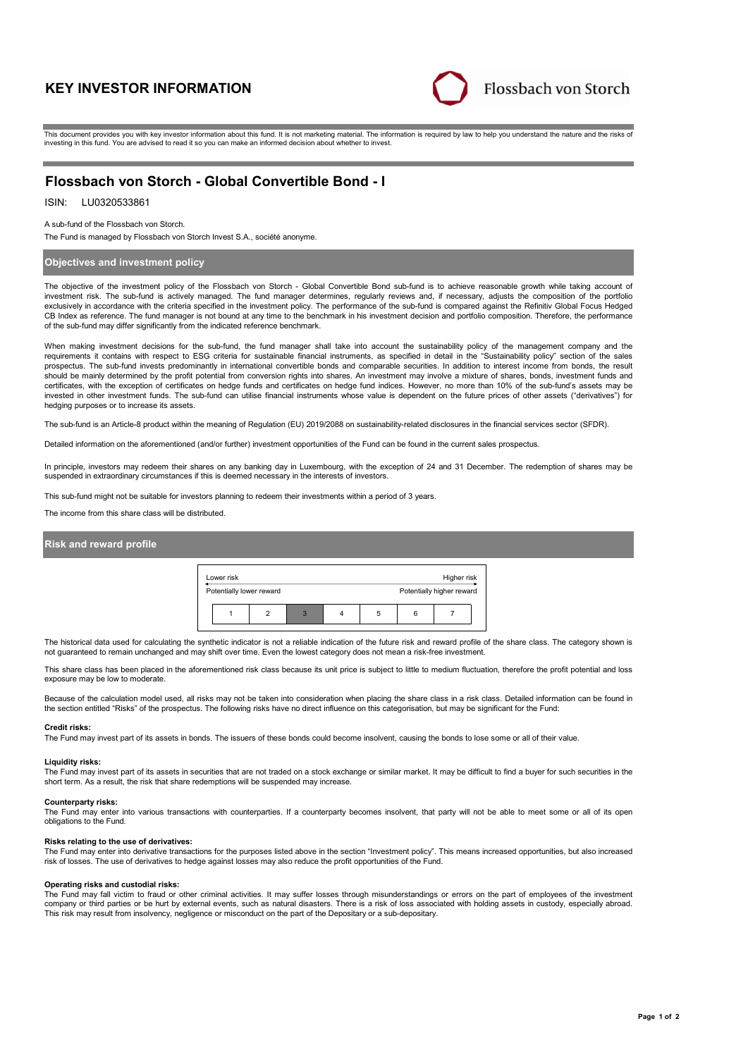# **KEY INVESTOR INFORMATION**



This document provides you with key investor information about this fund. It is not marketing material. The information is required by law to help you understand the nature and the risks of investing in this fund. You are advised to read it so you can make an informed decision about whether to invest.

## **Flossbach von Storch - Global Convertible Bond - I**

## ISIN: LU0320533861

#### A sub-fund of the Flossbach von Storch.

The Fund is managed by Flossbach von Storch Invest S.A., société anonyme.

#### **Objectives and investment policy**

The objective of the investment policy of the Flossbach von Storch - Global Convertible Bond sub-fund is to achieve reasonable growth while taking account of investment risk. The sub-fund is actively managed. The fund manager determines, regularly reviews and, if necessary, adjusts the composition of the portfolio exclusively in accordance with the criteria specified in the investment policy. The performance of the sub-fund is compared against the Refinitiv Global Focus Hedged CB Index as reference. The fund manager is not bound at any time to the benchmark in his investment decision and portfolio composition. Therefore, the performance of the sub-fund may differ significantly from the indicated reference benchmark.

When making investment decisions for the sub-fund, the fund manager shall take into account the sustainability policy of the management company and the requirements it contains with respect to ESG criteria for sustainable financial instruments, as specified in detail in the "Sustainability policy" section of the sales prospectus. The sub-fund invests predominantly in international convertible bonds and comparable securities. In addition to interest income from bonds, the result should be mainly determined by the profit potential from conversion rights into shares. An investment may involve a mixture of shares, bonds, investment funds and certificates, with the exception of certificates on hedge funds and certificates on hedge fund indices. However, no more than 10% of the sub-fund's assets may be<br>invested in other investment funds. The sub-fund can utilise hedging purposes or to increase its assets.

The sub-fund is an Article-8 product within the meaning of Regulation (EU) 2019/2088 on sustainability-related disclosures in the financial services sector (SFDR).

Detailed information on the aforementioned (and/or further) investment opportunities of the Fund can be found in the current sales prospectus.

In principle, investors may redeem their shares on any banking day in Luxembourg, with the exception of 24 and 31 December. The redemption of shares may be<br>suspended in extraordinary circumstances if this is deemed necessa

This sub-fund might not be suitable for investors planning to redeem their investments within a period of 3 years.

The income from this share class will be distributed.

#### **Risk and reward profile**



The historical data used for calculating the synthetic indicator is not a reliable indication of the future risk and reward profile of the share class. The category shown is not guaranteed to remain unchanged and may shift over time. Even the lowest category does not mean a risk-free investment.

This share class has been placed in the aforementioned risk class because its unit price is subject to little to medium fluctuation, therefore the profit potential and loss exposure may be low to moderate.

Because of the calculation model used, all risks may not be taken into consideration when placing the share class in a risk class. Detailed information can be found in the section entitled "Risks" of the prospectus. The following risks have no direct influence on this categorisation, but may be significant for the Fund:

#### **Credit risks:**

The Fund may invest part of its assets in bonds. The issuers of these bonds could become insolvent, causing the bonds to lose some or all of their value.

#### **Liquidity risks:**

The Fund may invest part of its assets in securities that are not traded on a stock exchange or similar market. It may be difficult to find a buyer for such securities in the short term. As a result, the risk that share redemptions will be suspended may increase.

#### **Counterparty risks:**

The Fund may enter into various transactions with counterparties. If a counterparty becomes insolvent, that party will not be able to meet some or all of its open obligations to the Fund.

#### **Risks relating to the use of derivatives:**

The Fund may enter into derivative transactions for the purposes listed above in the section "Investment policy". This means increased opportunities, but also increased risk of losses. The use of derivatives to hedge against losses may also reduce the profit opportunities of the Fund.

#### **Operating risks and custodial risks:**

The Fund may fall victim to fraud or other criminal activities. It may suffer losses through misunderstandings or errors on the part of employees of the investment company or third parties or be hurt by external events, such as natural disasters. There is a risk of loss associated with holding assets in custody, especially abroad. This risk may result from insolvency, negligence or misconduct on the part of the Depositary or a sub-depositary.